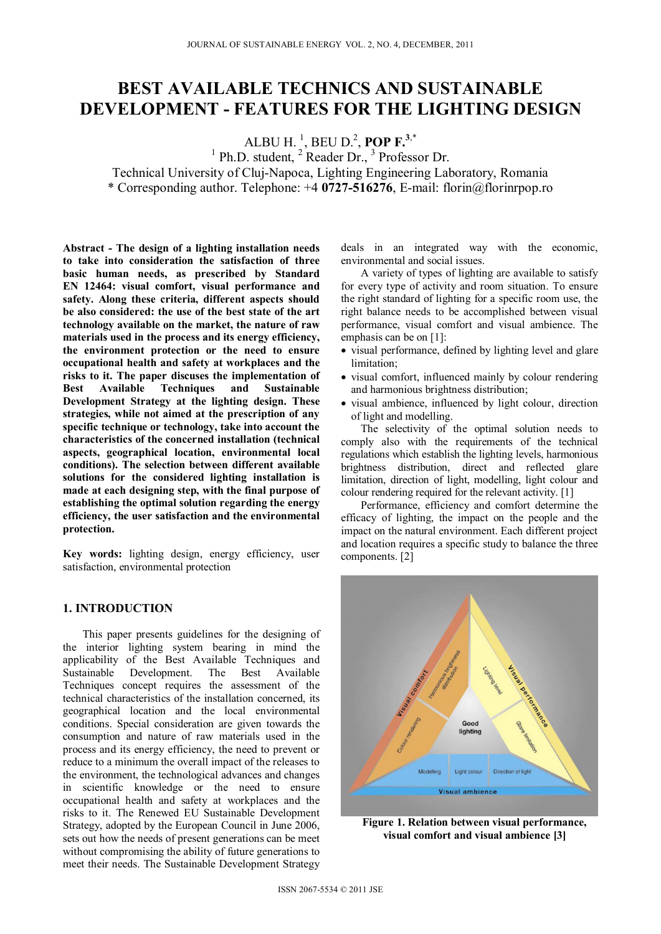# **BEST AVAILABLE TECHNICS AND SUSTAINABLE DEVELOPMENT - FEATURES FOR THE LIGHTING DESIGN**

ALBU H.<sup>1</sup>, BEU D.<sup>2</sup>, **POP F.**<sup>3,\*</sup><br><sup>1</sup> Ph.D. student, <sup>2</sup> Reader Dr., <sup>3</sup> Professor Dr.

Technical University of Cluj-Napoca, Lighting Engineering Laboratory, Romania

\* Corresponding author. Telephone: +4 **0727-516276**, E-mail: florin@florinrpop.ro

**Abstract - The design of a lighting installation needs to take into consideration the satisfaction of three basic human needs, as prescribed by Standard EN 12464: visual comfort, visual performance and safety. Along these criteria, different aspects should be also considered: the use of the best state of the art technology available on the market, the nature of raw materials used in the process and its energy efficiency, the environment protection or the need to ensure occupational health and safety at workplaces and the risks to it. The paper discuses the implementation of Best Available Techniques and Sustainable Development Strategy at the lighting design. These strategies, while not aimed at the prescription of any specific technique or technology, take into account the characteristics of the concerned installation (technical aspects, geographical location, environmental local conditions). The selection between different available solutions for the considered lighting installation is made at each designing step, with the final purpose of establishing the optimal solution regarding the energy efficiency, the user satisfaction and the environmental protection.** 

**Key words:** lighting design, energy efficiency, user satisfaction, environmental protection

## **1. INTRODUCTION**

This paper presents guidelines for the designing of the interior lighting system bearing in mind the applicability of the Best Available Techniques and Sustainable Development. The Best Available Techniques concept requires the assessment of the technical characteristics of the installation concerned, its geographical location and the local environmental conditions. Special consideration are given towards the consumption and nature of raw materials used in the process and its energy efficiency, the need to prevent or reduce to a minimum the overall impact of the releases to the environment, the technological advances and changes in scientific knowledge or the need to ensure occupational health and safety at workplaces and the risks to it. The Renewed EU Sustainable Development Strategy, adopted by the European Council in June 2006, sets out how the needs of present generations can be meet without compromising the ability of future generations to meet their needs. The Sustainable Development Strategy

deals in an integrated way with the economic, environmental and social issues.

A variety of types of lighting are available to satisfy for every type of activity and room situation. To ensure the right standard of lighting for a specific room use, the right balance needs to be accomplished between visual performance, visual comfort and visual ambience. The emphasis can be on [1]:

- visual performance, defined by lighting level and glare limitation;
- visual comfort, influenced mainly by colour rendering and harmonious brightness distribution;
- visual ambience, influenced by light colour, direction of light and modelling.

The selectivity of the optimal solution needs to comply also with the requirements of the technical regulations which establish the lighting levels, harmonious brightness distribution, direct and reflected glare limitation, direction of light, modelling, light colour and colour rendering required for the relevant activity. [1]

Performance, efficiency and comfort determine the efficacy of lighting, the impact on the people and the impact on the natural environment. Each different project and location requires a specific study to balance the three components. [2]



**Figure 1. Relation between visual performance, visual comfort and visual ambience [3]**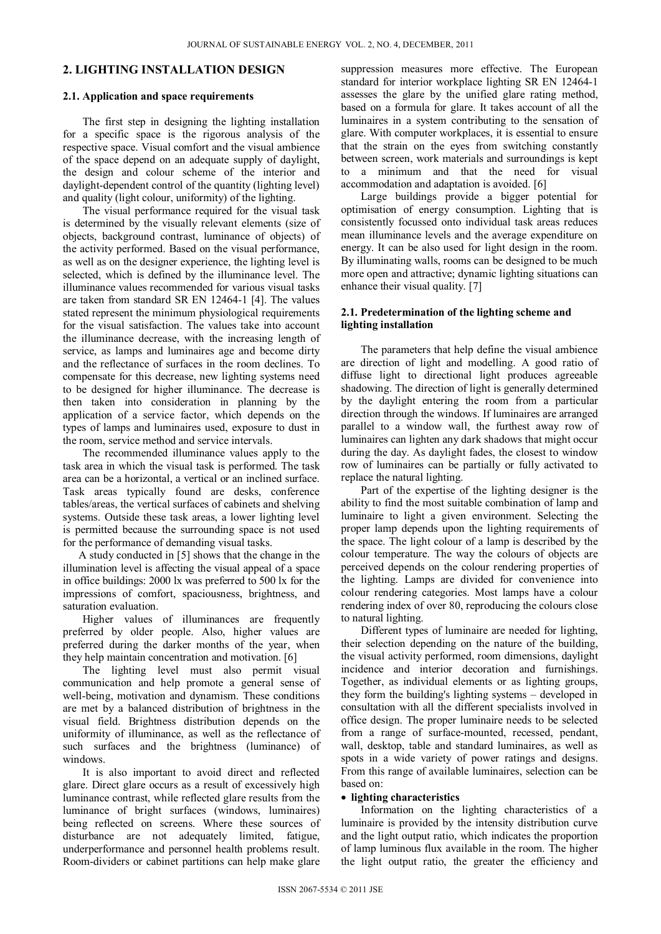## **2. LIGHTING INSTALLATION DESIGN**

#### **2.1. Application and space requirements**

The first step in designing the lighting installation for a specific space is the rigorous analysis of the respective space. Visual comfort and the visual ambience of the space depend on an adequate supply of daylight, the design and colour scheme of the interior and daylight-dependent control of the quantity (lighting level) and quality (light colour, uniformity) of the lighting.

The visual performance required for the visual task is determined by the visually relevant elements (size of objects, background contrast, luminance of objects) of the activity performed. Based on the visual performance, as well as on the designer experience, the lighting level is selected, which is defined by the illuminance level. The illuminance values recommended for various visual tasks are taken from standard SR EN 12464-1 [4]. The values stated represent the minimum physiological requirements for the visual satisfaction. The values take into account the illuminance decrease, with the increasing length of service, as lamps and luminaires age and become dirty and the reflectance of surfaces in the room declines. To compensate for this decrease, new lighting systems need to be designed for higher illuminance. The decrease is then taken into consideration in planning by the application of a service factor, which depends on the types of lamps and luminaires used, exposure to dust in the room, service method and service intervals.

The recommended illuminance values apply to the task area in which the visual task is performed. The task area can be a horizontal, a vertical or an inclined surface. Task areas typically found are desks, conference tables/areas, the vertical surfaces of cabinets and shelving systems. Outside these task areas, a lower lighting level is permitted because the surrounding space is not used for the performance of demanding visual tasks.

A study conducted in [5] shows that the change in the illumination level is affecting the visual appeal of a space in office buildings: 2000 lx was preferred to 500 lx for the impressions of comfort, spaciousness, brightness, and saturation evaluation.

Higher values of illuminances are frequently preferred by older people. Also, higher values are preferred during the darker months of the year, when they help maintain concentration and motivation. [6]

The lighting level must also permit visual communication and help promote a general sense of well-being, motivation and dynamism. These conditions are met by a balanced distribution of brightness in the visual field. Brightness distribution depends on the uniformity of illuminance, as well as the reflectance of such surfaces and the brightness (luminance) of windows.

It is also important to avoid direct and reflected glare. Direct glare occurs as a result of excessively high luminance contrast, while reflected glare results from the luminance of bright surfaces (windows, luminaires) being reflected on screens. Where these sources of disturbance are not adequately limited, fatigue, underperformance and personnel health problems result. Room-dividers or cabinet partitions can help make glare

suppression measures more effective. The European standard for interior workplace lighting SR EN 12464-1 assesses the glare by the unified glare rating method, based on a formula for glare. It takes account of all the luminaires in a system contributing to the sensation of glare. With computer workplaces, it is essential to ensure that the strain on the eyes from switching constantly between screen, work materials and surroundings is kept to a minimum and that the need for visual accommodation and adaptation is avoided. [6]

Large buildings provide a bigger potential for optimisation of energy consumption. Lighting that is consistently focussed onto individual task areas reduces mean illuminance levels and the average expenditure on energy. It can be also used for light design in the room. By illuminating walls, rooms can be designed to be much more open and attractive; dynamic lighting situations can enhance their visual quality. [7]

## **2.1. Predetermination of the lighting scheme and lighting installation**

The parameters that help define the visual ambience are direction of light and modelling. A good ratio of diffuse light to directional light produces agreeable shadowing. The direction of light is generally determined by the daylight entering the room from a particular direction through the windows. If luminaires are arranged parallel to a window wall, the furthest away row of luminaires can lighten any dark shadows that might occur during the day. As daylight fades, the closest to window row of luminaires can be partially or fully activated to replace the natural lighting.

Part of the expertise of the lighting designer is the ability to find the most suitable combination of lamp and luminaire to light a given environment. Selecting the proper lamp depends upon the lighting requirements of the space. The light colour of a lamp is described by the colour temperature. The way the colours of objects are perceived depends on the colour rendering properties of the lighting. Lamps are divided for convenience into colour rendering categories. Most lamps have a colour rendering index of over 80, reproducing the colours close to natural lighting.

Different types of luminaire are needed for lighting, their selection depending on the nature of the building, the visual activity performed, room dimensions, daylight incidence and interior decoration and furnishings. Together, as individual elements or as lighting groups, they form the building's lighting systems – developed in consultation with all the different specialists involved in office design. The proper luminaire needs to be selected from a range of surface-mounted, recessed, pendant, wall, desktop, table and standard luminaires, as well as spots in a wide variety of power ratings and designs. From this range of available luminaires, selection can be based on:

## **lighting characteristics**

Information on the lighting characteristics of a luminaire is provided by the intensity distribution curve and the light output ratio, which indicates the proportion of lamp luminous flux available in the room. The higher the light output ratio, the greater the efficiency and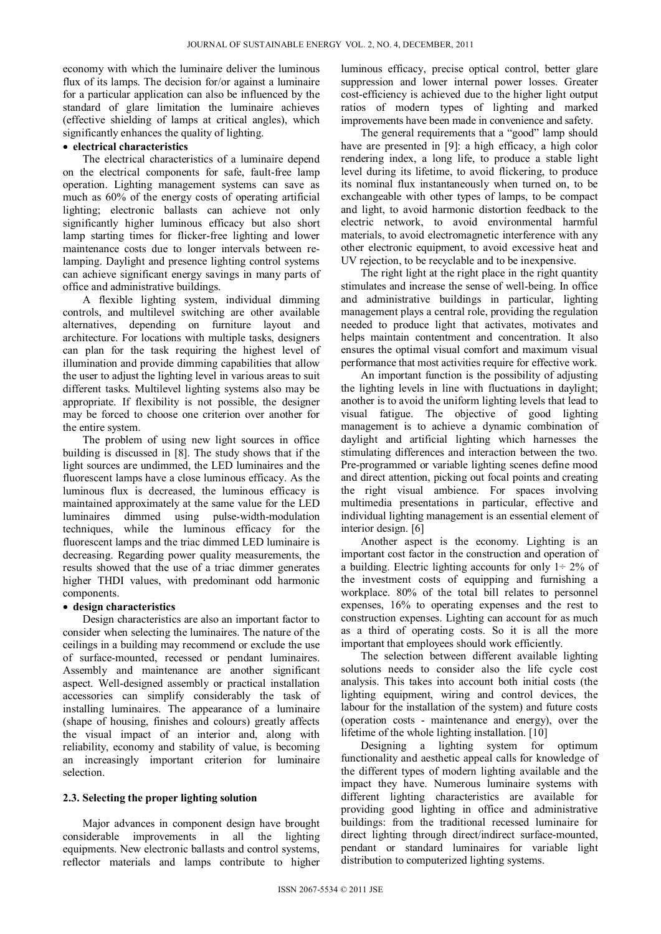economy with which the luminaire deliver the luminous flux of its lamps. The decision for/or against a luminaire for a particular application can also be influenced by the standard of glare limitation the luminaire achieves (effective shielding of lamps at critical angles), which significantly enhances the quality of lighting.

#### **electrical characteristics**

The electrical characteristics of a luminaire depend on the electrical components for safe, fault-free lamp operation. Lighting management systems can save as much as 60% of the energy costs of operating artificial lighting; electronic ballasts can achieve not only significantly higher luminous efficacy but also short lamp starting times for flicker-free lighting and lower maintenance costs due to longer intervals between relamping. Daylight and presence lighting control systems can achieve significant energy savings in many parts of office and administrative buildings.

A flexible lighting system, individual dimming controls, and multilevel switching are other available alternatives, depending on furniture layout and architecture. For locations with multiple tasks, designers can plan for the task requiring the highest level of illumination and provide dimming capabilities that allow the user to adjust the lighting level in various areas to suit different tasks. Multilevel lighting systems also may be appropriate. If flexibility is not possible, the designer may be forced to choose one criterion over another for the entire system.

The problem of using new light sources in office building is discussed in [8]. The study shows that if the light sources are undimmed, the LED luminaires and the fluorescent lamps have a close luminous efficacy. As the luminous flux is decreased, the luminous efficacy is maintained approximately at the same value for the LED luminaires dimmed using pulse-width-modulation techniques, while the luminous efficacy for the fluorescent lamps and the triac dimmed LED luminaire is decreasing. Regarding power quality measurements, the results showed that the use of a triac dimmer generates higher THDI values, with predominant odd harmonic components.

#### **design characteristics**

Design characteristics are also an important factor to consider when selecting the luminaires. The nature of the ceilings in a building may recommend or exclude the use of surface-mounted, recessed or pendant luminaires. Assembly and maintenance are another significant aspect. Well-designed assembly or practical installation accessories can simplify considerably the task of installing luminaires. The appearance of a luminaire (shape of housing, finishes and colours) greatly affects the visual impact of an interior and, along with reliability, economy and stability of value, is becoming an increasingly important criterion for luminaire selection.

#### **2.3. Selecting the proper lighting solution**

Major advances in component design have brought considerable improvements in all the lighting equipments. New electronic ballasts and control systems, reflector materials and lamps contribute to higher

luminous efficacy, precise optical control, better glare suppression and lower internal power losses. Greater cost-efficiency is achieved due to the higher light output ratios of modern types of lighting and marked improvements have been made in convenience and safety.

The general requirements that a "good" lamp should have are presented in [9]: a high efficacy, a high color rendering index, a long life, to produce a stable light level during its lifetime, to avoid flickering, to produce its nominal flux instantaneously when turned on, to be exchangeable with other types of lamps, to be compact and light, to avoid harmonic distortion feedback to the electric network, to avoid environmental harmful materials, to avoid electromagnetic interference with any other electronic equipment, to avoid excessive heat and UV rejection, to be recyclable and to be inexpensive.

The right light at the right place in the right quantity stimulates and increase the sense of well-being. In office and administrative buildings in particular, lighting management plays a central role, providing the regulation needed to produce light that activates, motivates and helps maintain contentment and concentration. It also ensures the optimal visual comfort and maximum visual performance that most activities require for effective work.

An important function is the possibility of adjusting the lighting levels in line with fluctuations in daylight; another is to avoid the uniform lighting levels that lead to visual fatigue. The objective of good lighting management is to achieve a dynamic combination of daylight and artificial lighting which harnesses the stimulating differences and interaction between the two. Pre-programmed or variable lighting scenes define mood and direct attention, picking out focal points and creating the right visual ambience. For spaces involving multimedia presentations in particular, effective and individual lighting management is an essential element of interior design. [6]

Another aspect is the economy. Lighting is an important cost factor in the construction and operation of a building. Electric lighting accounts for only  $1\div 2\%$  of the investment costs of equipping and furnishing a workplace. 80% of the total bill relates to personnel expenses, 16% to operating expenses and the rest to construction expenses. Lighting can account for as much as a third of operating costs. So it is all the more important that employees should work efficiently.

The selection between different available lighting solutions needs to consider also the life cycle cost analysis. This takes into account both initial costs (the lighting equipment, wiring and control devices, the labour for the installation of the system) and future costs (operation costs - maintenance and energy), over the lifetime of the whole lighting installation. [10]

Designing a lighting system for optimum functionality and aesthetic appeal calls for knowledge of the different types of modern lighting available and the impact they have. Numerous luminaire systems with different lighting characteristics are available for providing good lighting in office and administrative buildings: from the traditional recessed luminaire for direct lighting through direct/indirect surface-mounted, pendant or standard luminaires for variable light distribution to computerized lighting systems.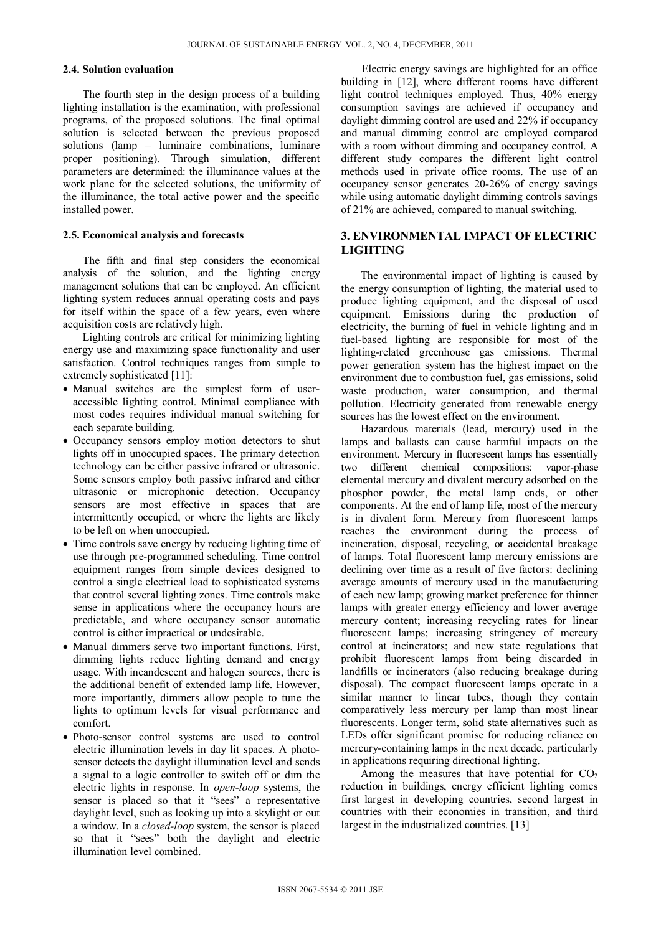## **2.4. Solution evaluation**

The fourth step in the design process of a building lighting installation is the examination, with professional programs, of the proposed solutions. The final optimal solution is selected between the previous proposed solutions (lamp – luminaire combinations, luminare proper positioning). Through simulation, different parameters are determined: the illuminance values at the work plane for the selected solutions, the uniformity of the illuminance, the total active power and the specific installed power.

#### **2.5. Economical analysis and forecasts**

The fifth and final step considers the economical analysis of the solution, and the lighting energy management solutions that can be employed. An efficient lighting system reduces annual operating costs and pays for itself within the space of a few years, even where acquisition costs are relatively high.

Lighting controls are critical for minimizing lighting energy use and maximizing space functionality and user satisfaction. Control techniques ranges from simple to extremely sophisticated [11]:

- Manual switches are the simplest form of useraccessible lighting control. Minimal compliance with most codes requires individual manual switching for each separate building.
- Occupancy sensors employ motion detectors to shut lights off in unoccupied spaces. The primary detection technology can be either passive infrared or ultrasonic. Some sensors employ both passive infrared and either ultrasonic or microphonic detection. Occupancy sensors are most effective in spaces that are intermittently occupied, or where the lights are likely to be left on when unoccupied.
- Time controls save energy by reducing lighting time of use through pre-programmed scheduling. Time control equipment ranges from simple devices designed to control a single electrical load to sophisticated systems that control several lighting zones. Time controls make sense in applications where the occupancy hours are predictable, and where occupancy sensor automatic control is either impractical or undesirable.
- Manual dimmers serve two important functions. First, dimming lights reduce lighting demand and energy usage. With incandescent and halogen sources, there is the additional benefit of extended lamp life. However, more importantly, dimmers allow people to tune the lights to optimum levels for visual performance and comfort.
- Photo-sensor control systems are used to control electric illumination levels in day lit spaces. A photosensor detects the daylight illumination level and sends a signal to a logic controller to switch off or dim the electric lights in response. In *open-loop* systems, the sensor is placed so that it "sees" a representative daylight level, such as looking up into a skylight or out a window. In a *closed-loop* system, the sensor is placed so that it "sees" both the daylight and electric illumination level combined.

Electric energy savings are highlighted for an office building in [12], where different rooms have different light control techniques employed. Thus, 40% energy consumption savings are achieved if occupancy and daylight dimming control are used and 22% if occupancy and manual dimming control are employed compared with a room without dimming and occupancy control. A different study compares the different light control methods used in private office rooms. The use of an occupancy sensor generates 20-26% of energy savings while using automatic daylight dimming controls savings of 21% are achieved, compared to manual switching.

## **3. ENVIRONMENTAL IMPACT OF ELECTRIC LIGHTING**

The environmental impact of lighting is caused by the energy consumption of lighting, the material used to produce lighting equipment, and the disposal of used equipment. Emissions during the production of electricity, the burning of fuel in vehicle lighting and in fuel-based lighting are responsible for most of the lighting-related greenhouse gas emissions. Thermal power generation system has the highest impact on the environment due to combustion fuel, gas emissions, solid waste production, water consumption, and thermal pollution. Electricity generated from renewable energy sources has the lowest effect on the environment.

Hazardous materials (lead, mercury) used in the lamps and ballasts can cause harmful impacts on the environment. Mercury in fluorescent lamps has essentially two different chemical compositions: vapor-phase elemental mercury and divalent mercury adsorbed on the phosphor powder, the metal lamp ends, or other components. At the end of lamp life, most of the mercury is in divalent form. Mercury from fluorescent lamps reaches the environment during the process of incineration, disposal, recycling, or accidental breakage of lamps. Total fluorescent lamp mercury emissions are declining over time as a result of five factors: declining average amounts of mercury used in the manufacturing of each new lamp; growing market preference for thinner lamps with greater energy efficiency and lower average mercury content; increasing recycling rates for linear fluorescent lamps; increasing stringency of mercury control at incinerators; and new state regulations that prohibit fluorescent lamps from being discarded in landfills or incinerators (also reducing breakage during disposal). The compact fluorescent lamps operate in a similar manner to linear tubes, though they contain comparatively less mercury per lamp than most linear fluorescents. Longer term, solid state alternatives such as LEDs offer significant promise for reducing reliance on mercury-containing lamps in the next decade, particularly in applications requiring directional lighting.

Among the measures that have potential for  $CO<sub>2</sub>$ reduction in buildings, energy efficient lighting comes first largest in developing countries, second largest in countries with their economies in transition, and third largest in the industrialized countries. [13]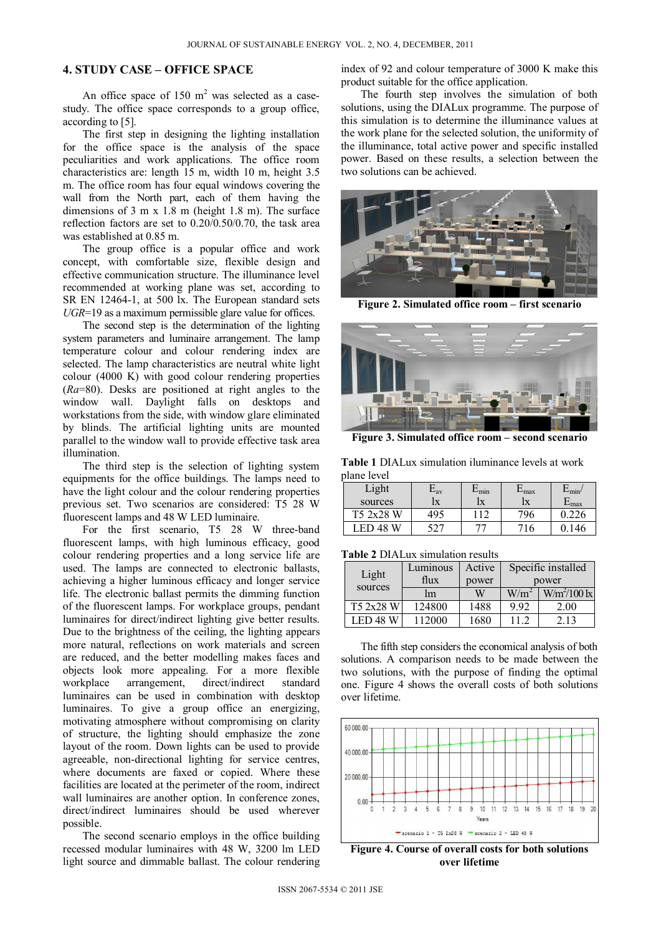# **4. STUDY CASE – OFFICE SPACE**

An office space of  $150 \text{ m}^2$  was selected as a casestudy. The office space corresponds to a group office, according to [5].

The first step in designing the lighting installation for the office space is the analysis of the space peculiarities and work applications. The office room characteristics are: length 15 m, width 10 m, height 3.5 m. The office room has four equal windows covering the wall from the North part, each of them having the dimensions of 3 m x 1.8 m (height 1.8 m). The surface reflection factors are set to 0.20/0.50/0.70, the task area was established at 0.85 m.

The group office is a popular office and work concept, with comfortable size, flexible design and effective communication structure. The illuminance level recommended at working plane was set, according to SR EN 12464-1, at 500 lx. The European standard sets *UGR*=19 as a maximum permissible glare value for offices.

The second step is the determination of the lighting system parameters and luminaire arrangement. The lamp temperature colour and colour rendering index are selected. The lamp characteristics are neutral white light colour (4000 K) with good colour rendering properties (*Ra*=80). Desks are positioned at right angles to the window wall. Daylight falls on desktops and workstations from the side, with window glare eliminated by blinds. The artificial lighting units are mounted parallel to the window wall to provide effective task area illumination.

The third step is the selection of lighting system equipments for the office buildings. The lamps need to have the light colour and the colour rendering properties previous set. Two scenarios are considered: T5 28 W fluorescent lamps and 48 W LED luminaire.

For the first scenario, T5 28 W three-band fluorescent lamps, with high luminous efficacy, good colour rendering properties and a long service life are used. The lamps are connected to electronic ballasts, achieving a higher luminous efficacy and longer service life. The electronic ballast permits the dimming function of the fluorescent lamps. For workplace groups, pendant luminaires for direct/indirect lighting give better results. Due to the brightness of the ceiling, the lighting appears more natural, reflections on work materials and screen are reduced, and the better modelling makes faces and objects look more appealing. For a more flexible workplace arrangement, direct/indirect standard luminaires can be used in combination with desktop luminaires. To give a group office an energizing, motivating atmosphere without compromising on clarity of structure, the lighting should emphasize the zone layout of the room. Down lights can be used to provide agreeable, non-directional lighting for service centres, where documents are faxed or copied. Where these facilities are located at the perimeter of the room, indirect wall luminaires are another option. In conference zones, direct/indirect luminaires should be used wherever possible.

The second scenario employs in the office building recessed modular luminaires with 48 W, 3200 lm LED light source and dimmable ballast. The colour rendering

index of 92 and colour temperature of 3000 K make this product suitable for the office application.

The fourth step involves the simulation of both solutions, using the DIALux programme. The purpose of this simulation is to determine the illuminance values at the work plane for the selected solution, the uniformity of the illuminance, total active power and specific installed power. Based on these results, a selection between the two solutions can be achieved.



**Figure 2. Simulated office room – first scenario** 



**Figure 3. Simulated office room – second scenario** 

**Table 1** DIALux simulation iluminance levels at work plane level

| Light     | ∟av | $E_{min}$ | $L$ <sub>max</sub> | $\rm E_{min}$ / |
|-----------|-----|-----------|--------------------|-----------------|
| sources   | lx  | lx        | lx                 | ∟max            |
| T5 2x28 W | 195 | 12        | 796.               | 226             |
| н.        |     |           |                    |                 |

#### **Table 2** DIALux simulation results

| Light<br>sources | Luminous      | Active | Specific installed |                         |
|------------------|---------------|--------|--------------------|-------------------------|
|                  | flux          | power  | power              |                         |
|                  | <sub>Im</sub> | W      | $W/m^2$            | $W/m^2/100 \mathrm{lx}$ |
| T5 2x28 W        | 124800        | 1488   | 992                | 2.00                    |
| <b>LED 48 W</b>  | 112000        | 1680   |                    | 2 13                    |

The fifth step considers the economical analysis of both solutions. A comparison needs to be made between the two solutions, with the purpose of finding the optimal one. Figure 4 shows the overall costs of both solutions over lifetime.



**Figure 4. Course of overall costs for both solutions over lifetime**